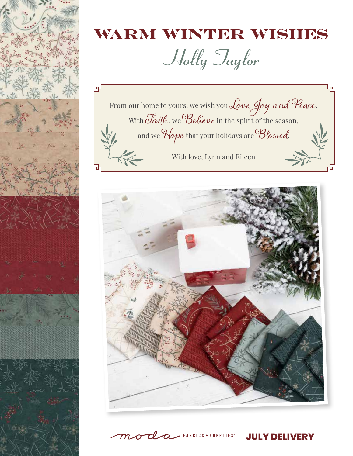

## WARM WINTER WISHES

Holly Taylor





 $\angle$  FABRICS + SUPPLIES<sup>®</sup>

**JULY DELIVERY**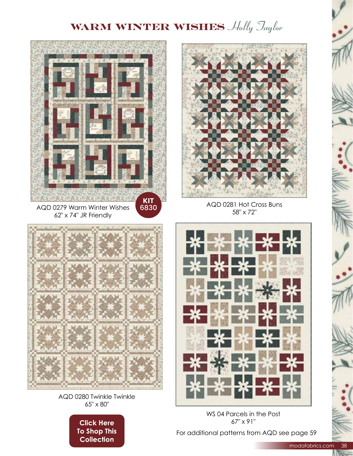## **WARM WINTER WISHES** Holly Jaylor



AQD 0280 Twinkle Twinkle 65" x 80"

> **Click Here To Shop This** Collection

67" x 91" For additional patterns from AQD see page 59

WS 04 Parcels in the Post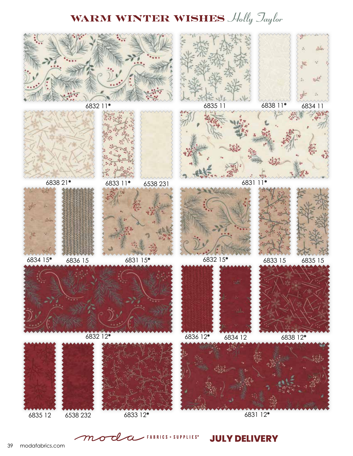## **WARM WINTER WISHES** Holly Jaylor



**JULY DELIVERY**